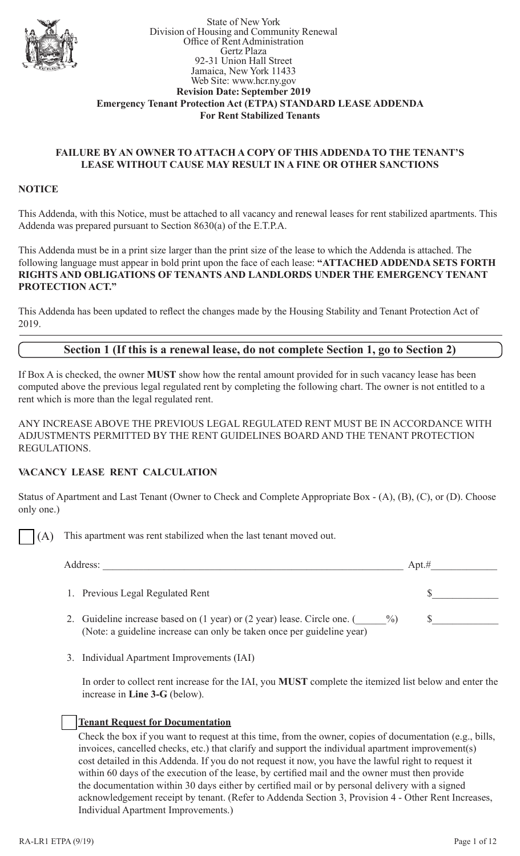

#### State of New York Division of Housing and Community Renewal Office of Rent Administration Gertz Plaza 92-31 Union Hall Street Jamaica, New York 11433 Web Site: www.hcr.ny.gov **Revision Date: September 2019 Emergency Tenant Protection Act (ETPA) STANDARD LEASE ADDENDA For Rent Stabilized Tenants**

### **FAILURE BY AN OWNER TO ATTACH A COPY OF THIS ADDENDA TO THE TENANT'S LEASE WITHOUT CAUSE MAY RESULT IN A FINE OR OTHER SANCTIONS**

#### **NOTICE**

This Addenda, with this Notice, must be attached to all vacancy and renewal leases for rent stabilized apartments. This Addenda was prepared pursuant to Section 8630(a) of the E.T.P.A.

This Addenda must be in a print size larger than the print size of the lease to which the Addenda is attached. The following language must appear in bold print upon the face of each lease: **"ATTACHED ADDENDA SETS FORTH RIGHTS AND OBLIGATIONS OF TENANTS AND LANDLORDS UNDER THE EMERGENCY TENANT PROTECTION ACT."**

This Addenda has been updated to reflect the changes made by the Housing Stability and Tenant Protection Act of 2019.

## **Section 1 (If this is a renewal lease, do not complete Section 1, go to Section 2)**

If Box A is checked, the owner **MUST** show how the rental amount provided for in such vacancy lease has been computed above the previous legal regulated rent by completing the following chart. The owner is not entitled to a rent which is more than the legal regulated rent.

ANY INCREASE ABOVE THE PREVIOUS LEGAL REGULATED RENT MUST BE IN ACCORDANCE WITH ADJUSTMENTS PERMITTED BY THE RENT GUIDELINES BOARD AND THE TENANT PROTECTION REGULATIONS.

#### **VACANCY LEASE RENT CALCULATION**

Status of Apartment and Last Tenant (Owner to Check and Complete Appropriate Box - (A), (B), (C), or (D). Choose only one.)

(A) This apartment was rent stabilized when the last tenant moved out.

| Address:                                                                                                                                                         | Apt.# |
|------------------------------------------------------------------------------------------------------------------------------------------------------------------|-------|
| 1. Previous Legal Regulated Rent                                                                                                                                 |       |
| Guideline increase based on (1 year) or (2 year) lease. Circle one. (<br>$\frac{0}{0}$<br>(Note: a guideline increase can only be taken once per guideline year) |       |

3. Individual Apartment Improvements (IAI)

In order to collect rent increase for the IAI, you **MUST** complete the itemized list below and enter the increase in **Line 3-G** (below).

## **Tenant Request for Documentation**

Check the box if you want to request at this time, from the owner, copies of documentation (e.g., bills, invoices, cancelled checks, etc.) that clarify and support the individual apartment improvement(s) cost detailed in this Addenda. If you do not request it now, you have the lawful right to request it within 60 days of the execution of the lease, by certified mail and the owner must then provide the documentation within 30 days either by certified mail or by personal delivery with a signed acknowledgement receipt by tenant. (Refer to Addenda Section 3, Provision 4 - Other Rent Increases, Individual Apartment Improvements.)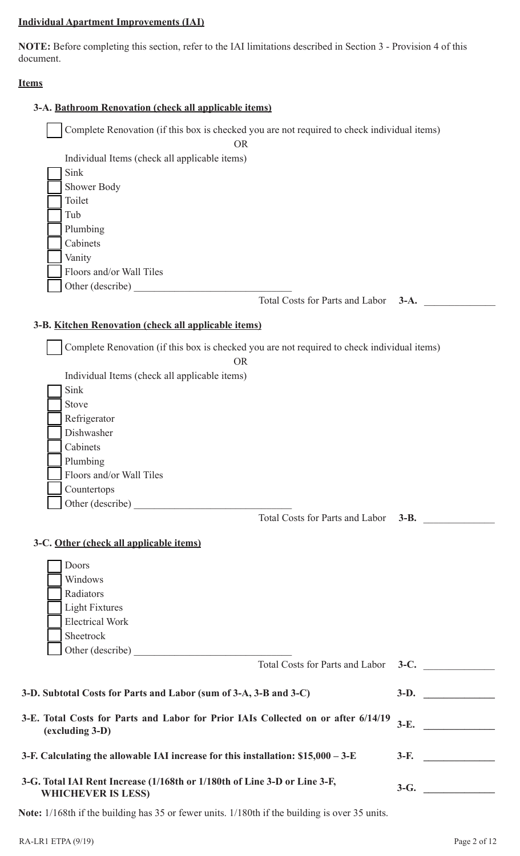## **Individual Apartment Improvements (IAI)**

**NOTE:** Before completing this section, refer to the IAI limitations described in Section 3 - Provision 4 of this document.

### **Items**

| 3-A. Bathroom Renovation (check all applicable items)                                       |                                      |
|---------------------------------------------------------------------------------------------|--------------------------------------|
| Complete Renovation (if this box is checked you are not required to check individual items) |                                      |
| <b>OR</b>                                                                                   |                                      |
| Individual Items (check all applicable items)                                               |                                      |
| Sink                                                                                        |                                      |
| Shower Body                                                                                 |                                      |
| Toilet                                                                                      |                                      |
| Tub                                                                                         |                                      |
| Plumbing                                                                                    |                                      |
| Cabinets                                                                                    |                                      |
| Vanity                                                                                      |                                      |
| Floors and/or Wall Tiles                                                                    |                                      |
| Other (describe)                                                                            |                                      |
|                                                                                             | Total Costs for Parts and Labor 3-A. |
|                                                                                             |                                      |
| 3-B. Kitchen Renovation (check all applicable items)                                        |                                      |
|                                                                                             |                                      |
| Complete Renovation (if this box is checked you are not required to check individual items) |                                      |
| <b>OR</b>                                                                                   |                                      |
| Individual Items (check all applicable items)                                               |                                      |
| Sink                                                                                        |                                      |
| Stove                                                                                       |                                      |
| Refrigerator                                                                                |                                      |
| Dishwasher                                                                                  |                                      |
| Cabinets                                                                                    |                                      |
| Plumbing                                                                                    |                                      |
| Floors and/or Wall Tiles                                                                    |                                      |
| Countertops                                                                                 |                                      |
|                                                                                             |                                      |
|                                                                                             | Total Costs for Parts and Labor 3-B. |
|                                                                                             |                                      |
| 3-C. Other (check all applicable items)                                                     |                                      |
|                                                                                             |                                      |
| Doors                                                                                       |                                      |
| Windows                                                                                     |                                      |
| Radiators                                                                                   |                                      |
| <b>Light Fixtures</b>                                                                       |                                      |
| <b>Electrical Work</b>                                                                      |                                      |
| Sheetrock                                                                                   |                                      |
| Other (describe)                                                                            |                                      |
|                                                                                             | Total Costs for Parts and Labor 3-C. |
|                                                                                             |                                      |
| 3-D. Subtotal Costs for Parts and Labor (sum of 3-A, 3-B and 3-C)                           | $3-D.$                               |
|                                                                                             |                                      |
| 3-E. Total Costs for Parts and Labor for Prior IAIs Collected on or after 6/14/19           | $3-E.$                               |
| (excluding 3-D)                                                                             |                                      |
|                                                                                             |                                      |
| 3-F. Calculating the allowable IAI increase for this installation: $$15,000 - 3-E$          | $3-F.$                               |
|                                                                                             |                                      |
| 3-G. Total IAI Rent Increase (1/168th or 1/180th of Line 3-D or Line 3-F,                   | $3-G.$                               |
| <b>WHICHEVER IS LESS)</b>                                                                   |                                      |
|                                                                                             |                                      |

**Note:** 1/168th if the building has 35 or fewer units. 1/180th if the building is over 35 units.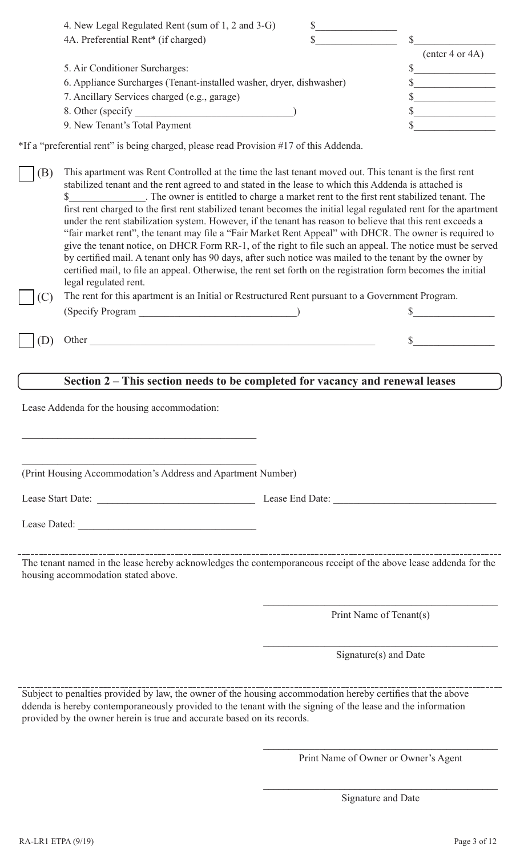| $($ enter 4 or 4A $)$                                                |
|----------------------------------------------------------------------|
|                                                                      |
| 6. Appliance Surcharges (Tenant-installed washer, dryer, dishwasher) |
|                                                                      |
|                                                                      |
|                                                                      |
|                                                                      |

\*If a "preferential rent" is being charged, please read Provision #17 of this Addenda.

(B) This apartment was Rent Controlled at the time the last tenant moved out. This tenant is the first rent stabilized tenant and the rent agreed to and stated in the lease to which this Addenda is attached is \$\_\_\_\_\_\_\_\_\_\_\_\_\_\_\_. The owner is entitled to charge a market rent to the first rent stabilized tenant. The first rent charged to the first rent stabilized tenant becomes the initial legal regulated rent for the apartment under the rent stabilization system. However, if the tenant has reason to believe that this rent exceeds a "fair market rent", the tenant may file a "Fair Market Rent Appeal" with DHCR. The owner is required to give the tenant notice, on DHCR Form RR-1, of the right to file such an appeal. The notice must be served by certified mail. A tenant only has 90 days, after such notice was mailed to the tenant by the owner by certified mail, to file an appeal. Otherwise, the rent set forth on the registration form becomes the initial legal regulated rent.

(C) The rent for this apartment is an Initial or Restructured Rent pursuant to a Government Program. (Specify Program  $\qquad \qquad$  )

 $(D)$  Other  $\qquad \qquad$  \$

# **Section 2 – This section needs to be completed for vacancy and renewal leases**

Lease Addenda for the housing accommodation:

(Print Housing Accommodation's Address and Apartment Number)

Lease Dated:

Lease Start Date: <br>
Lease End Date:

The tenant named in the lease hereby acknowledges the contemporaneous receipt of the above lease addenda for the housing accommodation stated above.

Print Name of Tenant(s)

Signature(s) and Date

Subject to penalties provided by law, the owner of the housing accommodation hereby certifies that the above ddenda is hereby contemporaneously provided to the tenant with the signing of the lease and the information provided by the owner herein is true and accurate based on its records.

> $\mathcal{L}_\mathcal{L}$  , which is a set of the set of the set of the set of the set of the set of the set of the set of the set of the set of the set of the set of the set of the set of the set of the set of the set of the set of Print Name of Owner or Owner's Agent

> $\mathcal{L}_\mathcal{L}$  , which is a set of the set of the set of the set of the set of the set of the set of the set of the set of the set of the set of the set of the set of the set of the set of the set of the set of the set of Signature and Date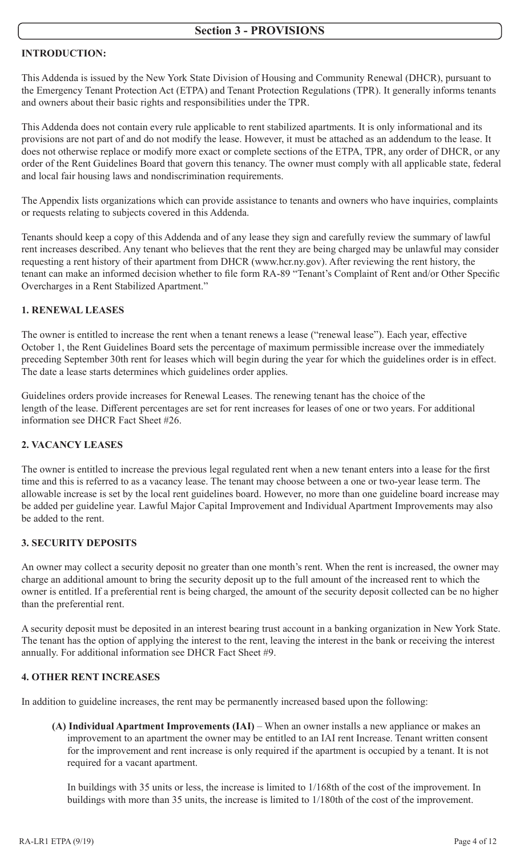## **INTRODUCTION:**

This Addenda is issued by the New York State Division of Housing and Community Renewal (DHCR), pursuant to the Emergency Tenant Protection Act (ETPA) and Tenant Protection Regulations (TPR). It generally informs tenants and owners about their basic rights and responsibilities under the TPR.

This Addenda does not contain every rule applicable to rent stabilized apartments. It is only informational and its provisions are not part of and do not modify the lease. However, it must be attached as an addendum to the lease. It does not otherwise replace or modify more exact or complete sections of the ETPA, TPR, any order of DHCR, or any order of the Rent Guidelines Board that govern this tenancy. The owner must comply with all applicable state, federal and local fair housing laws and nondiscrimination requirements.

The Appendix lists organizations which can provide assistance to tenants and owners who have inquiries, complaints or requests relating to subjects covered in this Addenda.

Tenants should keep a copy of this Addenda and of any lease they sign and carefully review the summary of lawful rent increases described. Any tenant who believes that the rent they are being charged may be unlawful may consider requesting a rent history of their apartment from DHCR (www.hcr.ny.gov). After reviewing the rent history, the tenant can make an informed decision whether to file form RA-89 "Tenant's Complaint of Rent and/or Other Specific Overcharges in a Rent Stabilized Apartment."

## **1. RENEWAL LEASES**

The owner is entitled to increase the rent when a tenant renews a lease ("renewal lease"). Each year, effective October 1, the Rent Guidelines Board sets the percentage of maximum permissible increase over the immediately preceding September 30th rent for leases which will begin during the year for which the guidelines order is in effect. The date a lease starts determines which guidelines order applies.

Guidelines orders provide increases for Renewal Leases. The renewing tenant has the choice of the length of the lease. Different percentages are set for rent increases for leases of one or two years. For additional information see DHCR Fact Sheet #26.

## **2. VACANCY LEASES**

The owner is entitled to increase the previous legal regulated rent when a new tenant enters into a lease for the first time and this is referred to as a vacancy lease. The tenant may choose between a one or two-year lease term. The allowable increase is set by the local rent guidelines board. However, no more than one guideline board increase may be added per guideline year. Lawful Major Capital Improvement and Individual Apartment Improvements may also be added to the rent.

## **3. SECURITY DEPOSITS**

An owner may collect a security deposit no greater than one month's rent. When the rent is increased, the owner may charge an additional amount to bring the security deposit up to the full amount of the increased rent to which the owner is entitled. If a preferential rent is being charged, the amount of the security deposit collected can be no higher than the preferential rent.

A security deposit must be deposited in an interest bearing trust account in a banking organization in New York State. The tenant has the option of applying the interest to the rent, leaving the interest in the bank or receiving the interest annually. For additional information see DHCR Fact Sheet #9.

## **4. OTHER RENT INCREASES**

In addition to guideline increases, the rent may be permanently increased based upon the following:

**(A) Individual Apartment Improvements (IAI)** – When an owner installs a new appliance or makes an improvement to an apartment the owner may be entitled to an IAI rent Increase. Tenant written consent for the improvement and rent increase is only required if the apartment is occupied by a tenant. It is not required for a vacant apartment.

In buildings with 35 units or less, the increase is limited to 1/168th of the cost of the improvement. In buildings with more than 35 units, the increase is limited to 1/180th of the cost of the improvement.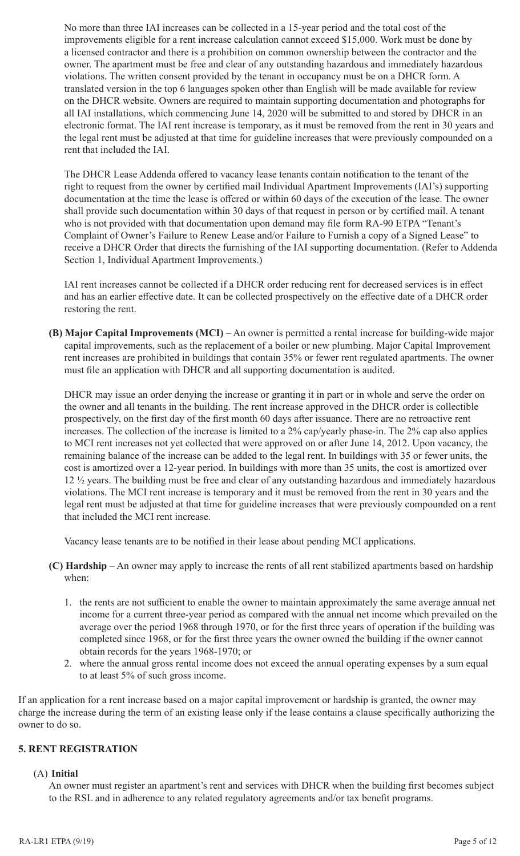No more than three IAI increases can be collected in a 15-year period and the total cost of the improvements eligible for a rent increase calculation cannot exceed \$15,000. Work must be done by a licensed contractor and there is a prohibition on common ownership between the contractor and the owner. The apartment must be free and clear of any outstanding hazardous and immediately hazardous violations. The written consent provided by the tenant in occupancy must be on a DHCR form. A translated version in the top 6 languages spoken other than English will be made available for review on the DHCR website. Owners are required to maintain supporting documentation and photographs for all IAI installations, which commencing June 14, 2020 will be submitted to and stored by DHCR in an electronic format. The IAI rent increase is temporary, as it must be removed from the rent in 30 years and the legal rent must be adjusted at that time for guideline increases that were previously compounded on a rent that included the IAI.

The DHCR Lease Addenda offered to vacancy lease tenants contain notification to the tenant of the right to request from the owner by certified mail Individual Apartment Improvements (IAI's) supporting documentation at the time the lease is offered or within 60 days of the execution of the lease. The owner shall provide such documentation within 30 days of that request in person or by certified mail. A tenant who is not provided with that documentation upon demand may file form RA-90 ETPA "Tenant's Complaint of Owner's Failure to Renew Lease and/or Failure to Furnish a copy of a Signed Lease" to receive a DHCR Order that directs the furnishing of the IAI supporting documentation. (Refer to Addenda Section 1, Individual Apartment Improvements.)

IAI rent increases cannot be collected if a DHCR order reducing rent for decreased services is in effect and has an earlier effective date. It can be collected prospectively on the effective date of a DHCR order restoring the rent.

**(B) Major Capital Improvements (MCI)** – An owner is permitted a rental increase for building-wide major capital improvements, such as the replacement of a boiler or new plumbing. Major Capital Improvement rent increases are prohibited in buildings that contain 35% or fewer rent regulated apartments. The owner must file an application with DHCR and all supporting documentation is audited.

DHCR may issue an order denying the increase or granting it in part or in whole and serve the order on the owner and all tenants in the building. The rent increase approved in the DHCR order is collectible prospectively, on the first day of the first month 60 days after issuance. There are no retroactive rent increases. The collection of the increase is limited to a 2% cap/yearly phase-in. The 2% cap also applies to MCI rent increases not yet collected that were approved on or after June 14, 2012. Upon vacancy, the remaining balance of the increase can be added to the legal rent. In buildings with 35 or fewer units, the cost is amortized over a 12-year period. In buildings with more than 35 units, the cost is amortized over 12 ½ years. The building must be free and clear of any outstanding hazardous and immediately hazardous violations. The MCI rent increase is temporary and it must be removed from the rent in 30 years and the legal rent must be adjusted at that time for guideline increases that were previously compounded on a rent that included the MCI rent increase.

Vacancy lease tenants are to be notified in their lease about pending MCI applications.

- **(C) Hardship** An owner may apply to increase the rents of all rent stabilized apartments based on hardship when:
	- 1. the rents are not sufficient to enable the owner to maintain approximately the same average annual net income for a current three-year period as compared with the annual net income which prevailed on the average over the period 1968 through 1970, or for the first three years of operation if the building was completed since 1968, or for the first three years the owner owned the building if the owner cannot obtain records for the years 1968-1970; or
	- 2. where the annual gross rental income does not exceed the annual operating expenses by a sum equal to at least 5% of such gross income.

If an application for a rent increase based on a major capital improvement or hardship is granted, the owner may charge the increase during the term of an existing lease only if the lease contains a clause specifically authorizing the owner to do so.

## **5. RENT REGISTRATION**

#### (A) **Initial**

An owner must register an apartment's rent and services with DHCR when the building first becomes subject to the RSL and in adherence to any related regulatory agreements and/or tax benefit programs.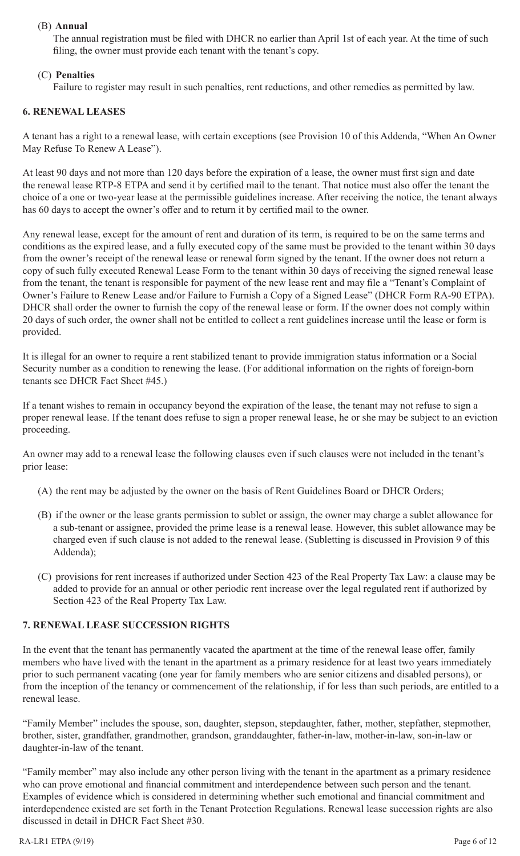### (B) **Annual**

The annual registration must be filed with DHCR no earlier than April 1st of each year. At the time of such filing, the owner must provide each tenant with the tenant's copy.

### (C) **Penalties**

Failure to register may result in such penalties, rent reductions, and other remedies as permitted by law.

#### **6. RENEWAL LEASES**

A tenant has a right to a renewal lease, with certain exceptions (see Provision 10 of this Addenda, "When An Owner May Refuse To Renew A Lease").

At least 90 days and not more than 120 days before the expiration of a lease, the owner must first sign and date the renewal lease RTP-8 ETPA and send it by certified mail to the tenant. That notice must also offer the tenant the choice of a one or two-year lease at the permissible guidelines increase. After receiving the notice, the tenant always has 60 days to accept the owner's offer and to return it by certified mail to the owner.

Any renewal lease, except for the amount of rent and duration of its term, is required to be on the same terms and conditions as the expired lease, and a fully executed copy of the same must be provided to the tenant within 30 days from the owner's receipt of the renewal lease or renewal form signed by the tenant. If the owner does not return a copy of such fully executed Renewal Lease Form to the tenant within 30 days of receiving the signed renewal lease from the tenant, the tenant is responsible for payment of the new lease rent and may file a "Tenant's Complaint of Owner's Failure to Renew Lease and/or Failure to Furnish a Copy of a Signed Lease" (DHCR Form RA-90 ETPA). DHCR shall order the owner to furnish the copy of the renewal lease or form. If the owner does not comply within 20 days of such order, the owner shall not be entitled to collect a rent guidelines increase until the lease or form is provided.

It is illegal for an owner to require a rent stabilized tenant to provide immigration status information or a Social Security number as a condition to renewing the lease. (For additional information on the rights of foreign-born tenants see DHCR Fact Sheet #45.)

If a tenant wishes to remain in occupancy beyond the expiration of the lease, the tenant may not refuse to sign a proper renewal lease. If the tenant does refuse to sign a proper renewal lease, he or she may be subject to an eviction proceeding.

An owner may add to a renewal lease the following clauses even if such clauses were not included in the tenant's prior lease:

- (A) the rent may be adjusted by the owner on the basis of Rent Guidelines Board or DHCR Orders;
- (B) if the owner or the lease grants permission to sublet or assign, the owner may charge a sublet allowance for a sub-tenant or assignee, provided the prime lease is a renewal lease. However, this sublet allowance may be charged even if such clause is not added to the renewal lease. (Subletting is discussed in Provision 9 of this Addenda);
- (C) provisions for rent increases if authorized under Section 423 of the Real Property Tax Law: a clause may be added to provide for an annual or other periodic rent increase over the legal regulated rent if authorized by Section 423 of the Real Property Tax Law.

## **7. RENEWAL LEASE SUCCESSION RIGHTS**

In the event that the tenant has permanently vacated the apartment at the time of the renewal lease offer, family members who have lived with the tenant in the apartment as a primary residence for at least two years immediately prior to such permanent vacating (one year for family members who are senior citizens and disabled persons), or from the inception of the tenancy or commencement of the relationship, if for less than such periods, are entitled to a renewal lease.

"Family Member" includes the spouse, son, daughter, stepson, stepdaughter, father, mother, stepfather, stepmother, brother, sister, grandfather, grandmother, grandson, granddaughter, father-in-law, mother-in-law, son-in-law or daughter-in-law of the tenant.

"Family member" may also include any other person living with the tenant in the apartment as a primary residence who can prove emotional and financial commitment and interdependence between such person and the tenant. Examples of evidence which is considered in determining whether such emotional and financial commitment and interdependence existed are set forth in the Tenant Protection Regulations. Renewal lease succession rights are also discussed in detail in DHCR Fact Sheet #30.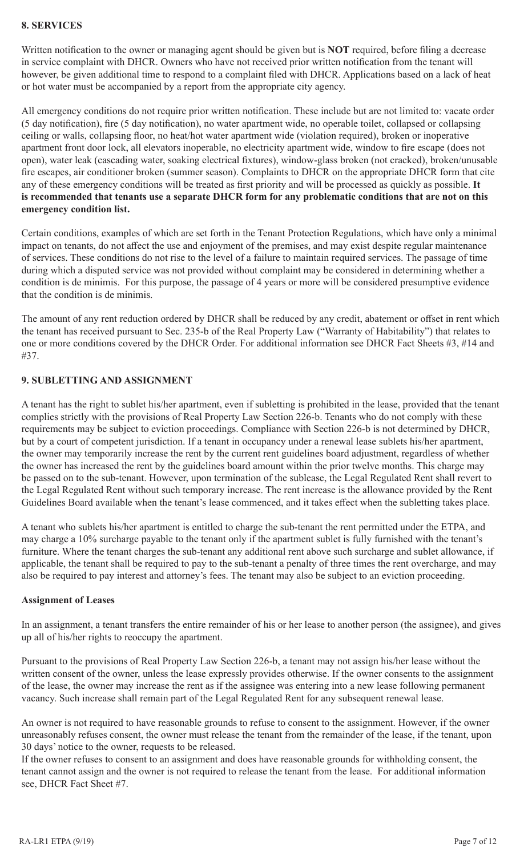### **8. SERVICES**

Written notification to the owner or managing agent should be given but is **NOT** required, before filing a decrease in service complaint with DHCR. Owners who have not received prior written notification from the tenant will however, be given additional time to respond to a complaint filed with DHCR. Applications based on a lack of heat or hot water must be accompanied by a report from the appropriate city agency.

All emergency conditions do not require prior written notification. These include but are not limited to: vacate order (5 day notification), fire (5 day notification), no water apartment wide, no operable toilet, collapsed or collapsing ceiling or walls, collapsing floor, no heat/hot water apartment wide (violation required), broken or inoperative apartment front door lock, all elevators inoperable, no electricity apartment wide, window to fire escape (does not open), water leak (cascading water, soaking electrical fixtures), window-glass broken (not cracked), broken/unusable fire escapes, air conditioner broken (summer season). Complaints to DHCR on the appropriate DHCR form that cite any of these emergency conditions will be treated as first priority and will be processed as quickly as possible. **It is recommended that tenants use a separate DHCR form for any problematic conditions that are not on this emergency condition list.**

Certain conditions, examples of which are set forth in the Tenant Protection Regulations, which have only a minimal impact on tenants, do not affect the use and enjoyment of the premises, and may exist despite regular maintenance of services. These conditions do not rise to the level of a failure to maintain required services. The passage of time during which a disputed service was not provided without complaint may be considered in determining whether a condition is de minimis. For this purpose, the passage of 4 years or more will be considered presumptive evidence that the condition is de minimis.

The amount of any rent reduction ordered by DHCR shall be reduced by any credit, abatement or offset in rent which the tenant has received pursuant to Sec. 235-b of the Real Property Law ("Warranty of Habitability") that relates to one or more conditions covered by the DHCR Order. For additional information see DHCR Fact Sheets #3, #14 and #37.

### **9. SUBLETTING AND ASSIGNMENT**

A tenant has the right to sublet his/her apartment, even if subletting is prohibited in the lease, provided that the tenant complies strictly with the provisions of Real Property Law Section 226-b. Tenants who do not comply with these requirements may be subject to eviction proceedings. Compliance with Section 226-b is not determined by DHCR, but by a court of competent jurisdiction. If a tenant in occupancy under a renewal lease sublets his/her apartment, the owner may temporarily increase the rent by the current rent guidelines board adjustment, regardless of whether the owner has increased the rent by the guidelines board amount within the prior twelve months. This charge may be passed on to the sub-tenant. However, upon termination of the sublease, the Legal Regulated Rent shall revert to the Legal Regulated Rent without such temporary increase. The rent increase is the allowance provided by the Rent Guidelines Board available when the tenant's lease commenced, and it takes effect when the subletting takes place.

A tenant who sublets his/her apartment is entitled to charge the sub-tenant the rent permitted under the ETPA, and may charge a 10% surcharge payable to the tenant only if the apartment sublet is fully furnished with the tenant's furniture. Where the tenant charges the sub-tenant any additional rent above such surcharge and sublet allowance, if applicable, the tenant shall be required to pay to the sub-tenant a penalty of three times the rent overcharge, and may also be required to pay interest and attorney's fees. The tenant may also be subject to an eviction proceeding.

#### **Assignment of Leases**

In an assignment, a tenant transfers the entire remainder of his or her lease to another person (the assignee), and gives up all of his/her rights to reoccupy the apartment.

Pursuant to the provisions of Real Property Law Section 226-b, a tenant may not assign his/her lease without the written consent of the owner, unless the lease expressly provides otherwise. If the owner consents to the assignment of the lease, the owner may increase the rent as if the assignee was entering into a new lease following permanent vacancy. Such increase shall remain part of the Legal Regulated Rent for any subsequent renewal lease.

An owner is not required to have reasonable grounds to refuse to consent to the assignment. However, if the owner unreasonably refuses consent, the owner must release the tenant from the remainder of the lease, if the tenant, upon 30 days' notice to the owner, requests to be released.

If the owner refuses to consent to an assignment and does have reasonable grounds for withholding consent, the tenant cannot assign and the owner is not required to release the tenant from the lease. For additional information see, DHCR Fact Sheet #7.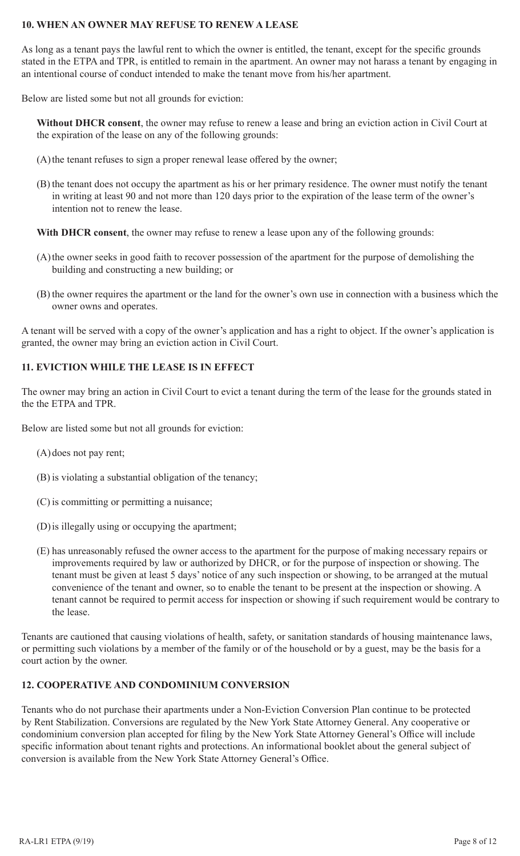#### **10. WHEN AN OWNER MAY REFUSE TO RENEW A LEASE**

As long as a tenant pays the lawful rent to which the owner is entitled, the tenant, except for the specific grounds stated in the ETPA and TPR, is entitled to remain in the apartment. An owner may not harass a tenant by engaging in an intentional course of conduct intended to make the tenant move from his/her apartment.

Below are listed some but not all grounds for eviction:

**Without DHCR consent**, the owner may refuse to renew a lease and bring an eviction action in Civil Court at the expiration of the lease on any of the following grounds:

- (A)the tenant refuses to sign a proper renewal lease offered by the owner;
- (B) the tenant does not occupy the apartment as his or her primary residence. The owner must notify the tenant in writing at least 90 and not more than 120 days prior to the expiration of the lease term of the owner's intention not to renew the lease.

**With DHCR consent**, the owner may refuse to renew a lease upon any of the following grounds:

- (A)the owner seeks in good faith to recover possession of the apartment for the purpose of demolishing the building and constructing a new building; or
- (B) the owner requires the apartment or the land for the owner's own use in connection with a business which the owner owns and operates.

A tenant will be served with a copy of the owner's application and has a right to object. If the owner's application is granted, the owner may bring an eviction action in Civil Court.

### **11. EVICTION WHILE THE LEASE IS IN EFFECT**

The owner may bring an action in Civil Court to evict a tenant during the term of the lease for the grounds stated in the the ETPA and TPR.

Below are listed some but not all grounds for eviction:

- (A)does not pay rent;
- (B) is violating a substantial obligation of the tenancy;
- (C) is committing or permitting a nuisance;
- (D)is illegally using or occupying the apartment;
- (E) has unreasonably refused the owner access to the apartment for the purpose of making necessary repairs or improvements required by law or authorized by DHCR, or for the purpose of inspection or showing. The tenant must be given at least 5 days' notice of any such inspection or showing, to be arranged at the mutual convenience of the tenant and owner, so to enable the tenant to be present at the inspection or showing. A tenant cannot be required to permit access for inspection or showing if such requirement would be contrary to the lease.

Tenants are cautioned that causing violations of health, safety, or sanitation standards of housing maintenance laws, or permitting such violations by a member of the family or of the household or by a guest, may be the basis for a court action by the owner.

#### **12. COOPERATIVE AND CONDOMINIUM CONVERSION**

Tenants who do not purchase their apartments under a Non-Eviction Conversion Plan continue to be protected by Rent Stabilization. Conversions are regulated by the New York State Attorney General. Any cooperative or condominium conversion plan accepted for filing by the New York State Attorney General's Office will include specific information about tenant rights and protections. An informational booklet about the general subject of conversion is available from the New York State Attorney General's Office.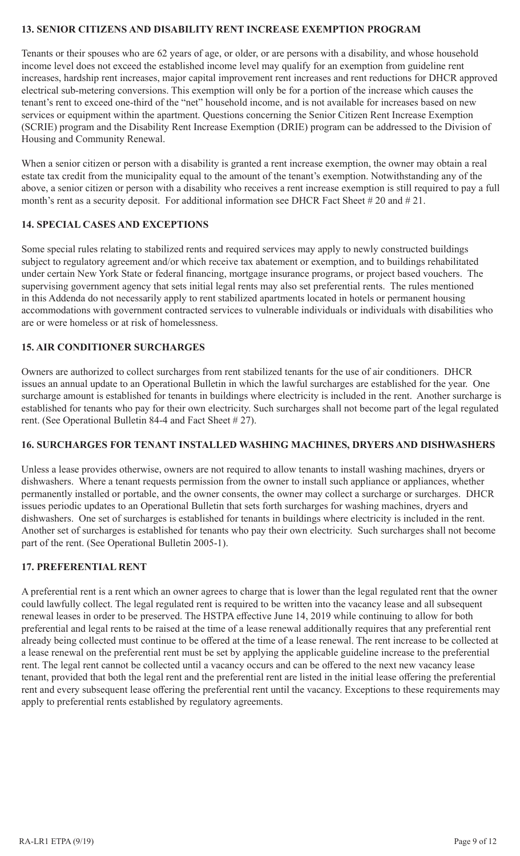### **13. SENIOR CITIZENS AND DISABILITY RENT INCREASE EXEMPTION PROGRAM**

Tenants or their spouses who are 62 years of age, or older, or are persons with a disability, and whose household income level does not exceed the established income level may qualify for an exemption from guideline rent increases, hardship rent increases, major capital improvement rent increases and rent reductions for DHCR approved electrical sub-metering conversions. This exemption will only be for a portion of the increase which causes the tenant's rent to exceed one-third of the "net" household income, and is not available for increases based on new services or equipment within the apartment. Questions concerning the Senior Citizen Rent Increase Exemption (SCRIE) program and the Disability Rent Increase Exemption (DRIE) program can be addressed to the Division of Housing and Community Renewal.

When a senior citizen or person with a disability is granted a rent increase exemption, the owner may obtain a real estate tax credit from the municipality equal to the amount of the tenant's exemption. Notwithstanding any of the above, a senior citizen or person with a disability who receives a rent increase exemption is still required to pay a full month's rent as a security deposit. For additional information see DHCR Fact Sheet # 20 and # 21.

## **14. SPECIAL CASES AND EXCEPTIONS**

Some special rules relating to stabilized rents and required services may apply to newly constructed buildings subject to regulatory agreement and/or which receive tax abatement or exemption, and to buildings rehabilitated under certain New York State or federal financing, mortgage insurance programs, or project based vouchers. The supervising government agency that sets initial legal rents may also set preferential rents. The rules mentioned in this Addenda do not necessarily apply to rent stabilized apartments located in hotels or permanent housing accommodations with government contracted services to vulnerable individuals or individuals with disabilities who are or were homeless or at risk of homelessness.

## **15. AIR CONDITIONER SURCHARGES**

Owners are authorized to collect surcharges from rent stabilized tenants for the use of air conditioners. DHCR issues an annual update to an Operational Bulletin in which the lawful surcharges are established for the year. One surcharge amount is established for tenants in buildings where electricity is included in the rent. Another surcharge is established for tenants who pay for their own electricity. Such surcharges shall not become part of the legal regulated rent. (See Operational Bulletin 84-4 and Fact Sheet # 27).

## **16. SURCHARGES FOR TENANT INSTALLED WASHING MACHINES, DRYERS AND DISHWASHERS**

Unless a lease provides otherwise, owners are not required to allow tenants to install washing machines, dryers or dishwashers. Where a tenant requests permission from the owner to install such appliance or appliances, whether permanently installed or portable, and the owner consents, the owner may collect a surcharge or surcharges. DHCR issues periodic updates to an Operational Bulletin that sets forth surcharges for washing machines, dryers and dishwashers. One set of surcharges is established for tenants in buildings where electricity is included in the rent. Another set of surcharges is established for tenants who pay their own electricity. Such surcharges shall not become part of the rent. (See Operational Bulletin 2005-1).

## **17. PREFERENTIAL RENT**

A preferential rent is a rent which an owner agrees to charge that is lower than the legal regulated rent that the owner could lawfully collect. The legal regulated rent is required to be written into the vacancy lease and all subsequent renewal leases in order to be preserved. The HSTPA effective June 14, 2019 while continuing to allow for both preferential and legal rents to be raised at the time of a lease renewal additionally requires that any preferential rent already being collected must continue to be offered at the time of a lease renewal. The rent increase to be collected at a lease renewal on the preferential rent must be set by applying the applicable guideline increase to the preferential rent. The legal rent cannot be collected until a vacancy occurs and can be offered to the next new vacancy lease tenant, provided that both the legal rent and the preferential rent are listed in the initial lease offering the preferential rent and every subsequent lease offering the preferential rent until the vacancy. Exceptions to these requirements may apply to preferential rents established by regulatory agreements.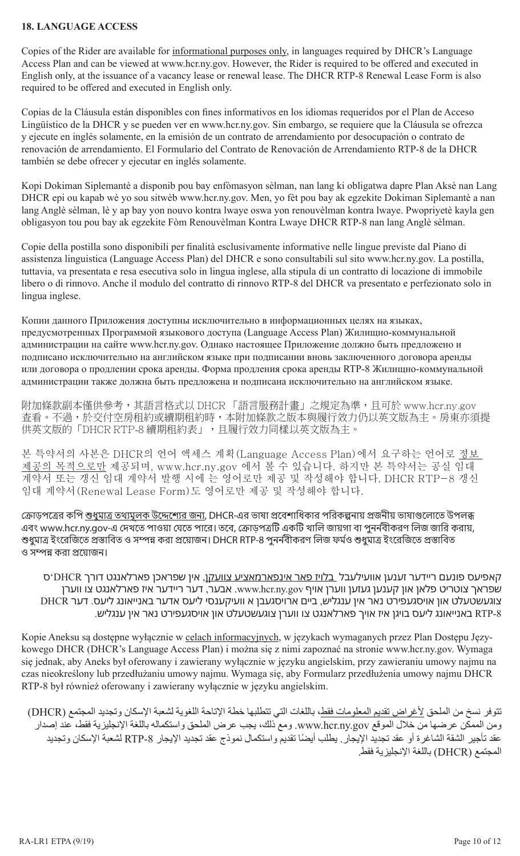#### **18. LANGUAGE ACCESS**

Copies of the Rider are available for informational purposes only, in languages required by DHCR's Language Access Plan and can be viewed at www.hcr.ny.gov. However, the Rider is required to be offered and executed in English only, at the issuance of a vacancy lease or renewal lease. The DHCR RTP-8 Renewal Lease Form is also required to be offered and executed in English only.

Copias de la Cláusula están disponibles con fines informativos en los idiomas requeridos por el Plan de Acceso Lingüístico de la DHCR y se pueden ver en www.hcr.ny.gov. Sin embargo, se requiere que la Cláusula se ofrezca y ejecute en inglés solamente, en la emisión de un contrato de arrendamiento por desocupación o contrato de renovación de arrendamiento. El Formulario del Contrato de Renovación de Arrendamiento RTP-8 de la DHCR también se debe ofrecer y ejecutar en inglés solamente.

Kopi Dokiman Siplemantè a disponib pou bay enfòmasyon sèlman, nan lang ki obligatwa dapre Plan Aksè nan Lang DHCR epi ou kapab wè yo sou sitwèb www.hcr.ny.gov. Men, yo fèt pou bay ak egzekite Dokiman Siplemantè a nan lang Anglè sèlman, lè y ap bay yon nouvo kontra lwaye oswa yon renouvèlman kontra lwaye. Pwopriyetè kayla gen obligasyon tou pou bay ak egzekite Fòm Renouvèlman Kontra Lwaye DHCR RTP-8 nan lang Anglè sèlman.

Copie della postilla sono disponibili per finalità esclusivamente informative nelle lingue previste dal Piano di assistenza linguistica (Language Access Plan) del DHCR e sono consultabili sul sito www.hcr.ny.gov. La postilla, tuttavia, va presentata e resa esecutiva solo in lingua inglese, alla stipula di un contratto di locazione di immobile libero o di rinnovo. Anche il modulo del contratto di rinnovo RTP-8 del DHCR va presentato e perfezionato solo in lingua inglese.

Копии данного Приложения доступны исключительно в информационных целях на языках, предусмотренных Программой языкового доступа (Language Access Plan) Жилищно-коммунальной администрации на сайте www.hcr.ny.gov. Однако настоящее Приложение должно быть предложено и подписано исключительно на английском языке при подписании вновь заключенного договора аренды или договора о продлении срока аренды. Форма продления срока аренды RTP-8 Жилищно-коммунальной администрации также должна быть предложена и подписана исключительно на английском языке.

附加條款副本僅供參考,其語言格式以 DHCR 「語言服務計畫」之規定為準,且可於 www.hcr.ny.gov 查看。不過,於交付空房租約或續期租約時,本附加條款之版本與履行效力仍以英文版為主。房東亦須提 供英文版的「DHCR RTP-8 續期租約表」,且履行效力同樣以英文版為主。

본 특약서의 사본은 DHCR의 언어 액세스 계획(Language Access Plan)에서 요구하는 언어로 <u>정보</u> <u>제공의 목적으로만</u> 제공되며, www.hcr.ny.gov 에서 볼 수 있습니다. 하지만 본 특약서는 공실 임대 계약서 또는 갱신 임대 계약서 발행 시에 는 영어로만 제공 및 작성해야 합니다. DHCR RTP-8 갱신 임대 계약서(Renewal Lease Form)도 영어로만 제공 및 작성해야 합니다.

ক্রোড়পত্রের কপি শুধুমাত্র তথ্যমূলক উদ্দেশ্যের জন্য, DHCR-এর ভাষা প্রবেশাধিকার পরিকল্পনায় প্রজনীয় ভাষাগুলোতে উপলব্ধ এবং www.hcr.ny.gov-এ দেখতে পাওয়া যেতে পারে। তবে, ক্রোড়পত্রটি একটি খালি জায়গা বা পুনর্নবীকরণ লিজ জারি করায়, শুধুমাত্র ইংরেজিতে প্রস্তাবিত ও সম্পন্ন করা প্রয়োজন। DHCR RTP-8 পুনর্নবীকরণ লিজ ফর্মও শুধুমাত্র ইংরেজিতে প্রস্তাবিত ও সম্পন্ন করা প্রয়োজন।

קאפיעס פונעם ריידער זענען אוועילעבל בלויז פאר אינפארמאציע צוועקן, אין שפראכן פארלאנגט דורך DHCR'ס שפראך צוטריט פלאן און קענען געזען ווערן אויף gov.ny.hcr.www. אבער, דער ריידער איז פארלאנגט צו ווערן צוגעשטעלט און אויסגעפירט נאר אין ענגליש, ביים ארויסגעבן א וועיקענסי ליעס אדער באנייאונג ליעס. דער DHCR -8RTP באנייאונג ליעס בויגן איז אויך פארלאנגט צו ווערן צוגעשטעלט און אויסגעפירט נאר אין ענגליש.

Kopie Aneksu są dostępne wyłącznie w celach informacyjnych, w językach wymaganych przez Plan Dostępu Językowego DHCR (DHCR's Language Access Plan) i można się z nimi zapoznać na stronie www.hcr.ny.gov. Wymaga się jednak, aby Aneks był oferowany i zawierany wyłącznie w języku angielskim, przy zawieraniu umowy najmu na czas nieokreślony lub przedłużaniu umowy najmu. Wymaga się, aby Formularz przedłużenia umowy najmu DHCR RTP-8 był również oferowany i zawierany wyłącznie w języku angielskim.

تتوفر نسخ من الملحق لأغراض تقديم المعلومات فقط، باللغات التي تتطلبها خطة الإتاحة اللغوية لشعبة الإسكان وتجديد المجتمع (DHCR) ومن الممكن عرضها من خالل الموقع gov.ny.hcr.www. ومع ذلك، يجب عرض الملحق واستكماله باللغة اإلنجليزية فقط، عند إصدار ً عقد تأجير الشقة الشاغرة أو عقد تجديد اإليجار. يطلب أيضا تقديم واستكمال نموذج عقد تجديد اإليجار -8RTP لشعبة اإلسكان وتجديد المجتمع )DHCR )باللغة اإلنجليزية فقط.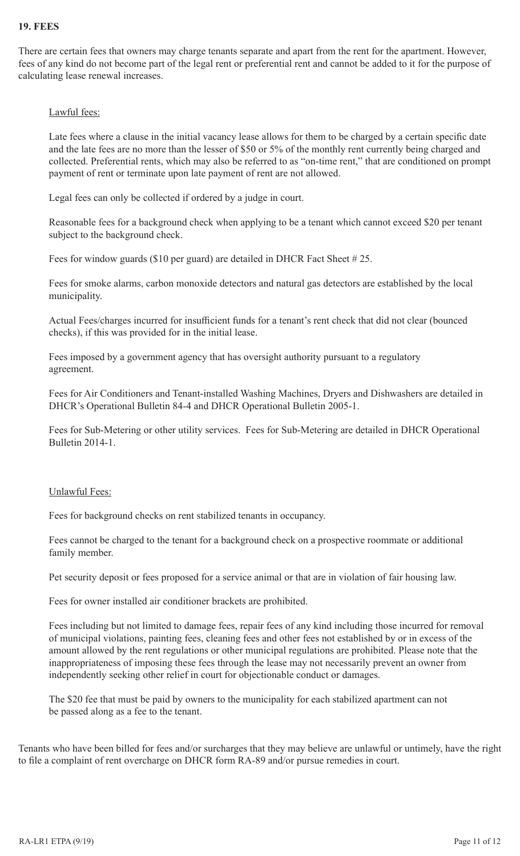### **19. FEES**

There are certain fees that owners may charge tenants separate and apart from the rent for the apartment. However, fees of any kind do not become part of the legal rent or preferential rent and cannot be added to it for the purpose of calculating lease renewal increases.

#### Lawful fees:

Late fees where a clause in the initial vacancy lease allows for them to be charged by a certain specific date and the late fees are no more than the lesser of \$50 or 5% of the monthly rent currently being charged and collected. Preferential rents, which may also be referred to as "on-time rent," that are conditioned on prompt payment of rent or terminate upon late payment of rent are not allowed.

Legal fees can only be collected if ordered by a judge in court.

Reasonable fees for a background check when applying to be a tenant which cannot exceed \$20 per tenant subject to the background check.

Fees for window guards (\$10 per guard) are detailed in DHCR Fact Sheet #25.

Fees for smoke alarms, carbon monoxide detectors and natural gas detectors are established by the local municipality.

Actual Fees/charges incurred for insufficient funds for a tenant's rent check that did not clear (bounced checks), if this was provided for in the initial lease.

Fees imposed by a government agency that has oversight authority pursuant to a regulatory agreement.

Fees for Air Conditioners and Tenant-installed Washing Machines, Dryers and Dishwashers are detailed in DHCR's Operational Bulletin 84-4 and DHCR Operational Bulletin 2005-1.

Fees for Sub-Metering or other utility services. Fees for Sub-Metering are detailed in DHCR Operational Bulletin 2014-1.

#### Unlawful Fees:

Fees for background checks on rent stabilized tenants in occupancy.

Fees cannot be charged to the tenant for a background check on a prospective roommate or additional family member.

Pet security deposit or fees proposed for a service animal or that are in violation of fair housing law.

Fees for owner installed air conditioner brackets are prohibited.

Fees including but not limited to damage fees, repair fees of any kind including those incurred for removal of municipal violations, painting fees, cleaning fees and other fees not established by or in excess of the amount allowed by the rent regulations or other municipal regulations are prohibited. Please note that the inappropriateness of imposing these fees through the lease may not necessarily prevent an owner from independently seeking other relief in court for objectionable conduct or damages.

The \$20 fee that must be paid by owners to the municipality for each stabilized apartment can not be passed along as a fee to the tenant.

Tenants who have been billed for fees and/or surcharges that they may believe are unlawful or untimely, have the right to file a complaint of rent overcharge on DHCR form RA-89 and/or pursue remedies in court.